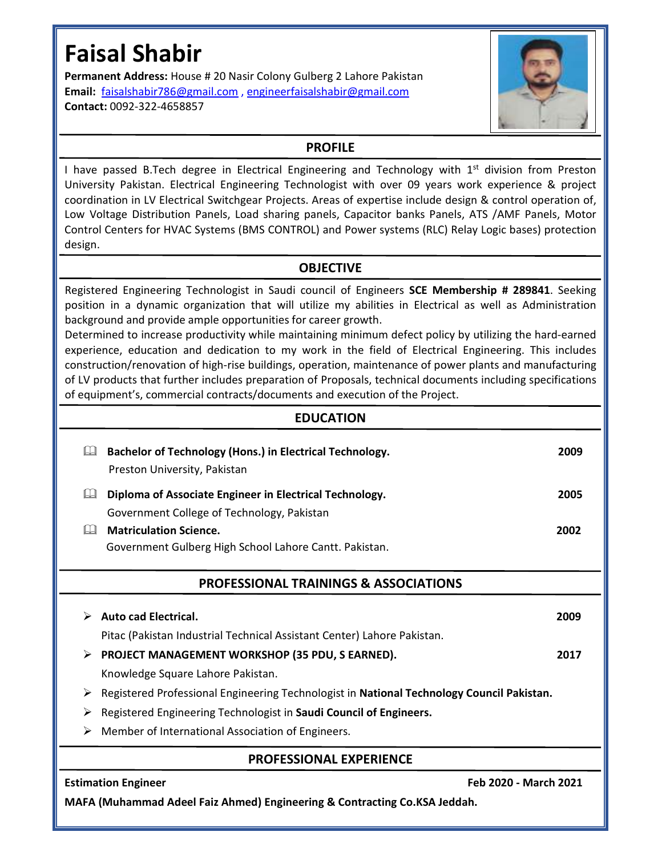# **Faisal Shabir**

**Permanent Address:** House # 20 Nasir Colony Gulberg 2 Lahore Pakistan **Email:** faisalshabir786@gmail.com , engineerfaisalshabir@gmail.com **Contact:** 0092-322-4658857



# **PROFILE**

I have passed B.Tech degree in Electrical Engineering and Technology with 1<sup>st</sup> division from Preston University Pakistan. Electrical Engineering Technologist with over 09 years work experience & project coordination in LV Electrical Switchgear Projects. Areas of expertise include design & control operation of, Low Voltage Distribution Panels, Load sharing panels, Capacitor banks Panels, ATS /AMF Panels, Motor Control Centers for HVAC Systems (BMS CONTROL) and Power systems (RLC) Relay Logic bases) protection design.

# **OBJECTIVE**

Registered Engineering Technologist in Saudi council of Engineers **SCE Membership # 289841**. Seeking position in a dynamic organization that will utilize my abilities in Electrical as well as Administration background and provide ample opportunities for career growth.

Determined to increase productivity while maintaining minimum defect policy by utilizing the hard-earned experience, education and dedication to my work in the field of Electrical Engineering. This includes construction/renovation of high-rise buildings, operation, maintenance of power plants and manufacturing of LV products that further includes preparation of Proposals, technical documents including specifications of equipment's, commercial contracts/documents and execution of the Project.

### **EDUCATION**

| Bachelor of Technology (Hons.) in Electrical Technology.<br>Preston University, Pakistan       | 2009 |
|------------------------------------------------------------------------------------------------|------|
| Diploma of Associate Engineer in Electrical Technology.<br>Ш                                   | 2005 |
| Government College of Technology, Pakistan                                                     |      |
| <b>Matriculation Science.</b>                                                                  | 2002 |
| Government Gulberg High School Lahore Cantt. Pakistan.                                         |      |
| <b>PROFESSIONAL TRAININGS &amp; ASSOCIATIONS</b>                                               |      |
| <b>Auto cad Electrical.</b><br>➤                                                               | 2009 |
| Pitac (Pakistan Industrial Technical Assistant Center) Lahore Pakistan.                        |      |
| > PROJECT MANAGEMENT WORKSHOP (35 PDU, S EARNED).                                              | 2017 |
| Knowledge Square Lahore Pakistan.                                                              |      |
| Registered Professional Engineering Technologist in National Technology Council Pakistan.<br>➤ |      |
| Registered Engineering Technologist in Saudi Council of Engineers.<br>➤                        |      |
| Member of International Association of Engineers.<br>➤                                         |      |
| <b>PROFESSIONAL EXPERIENCE</b>                                                                 |      |
| Feb 2020 - March 2021<br><b>Estimation Engineer</b>                                            |      |

**MAFA (Muhammad Adeel Faiz Ahmed) Engineering & Contracting Co.KSA Jeddah.**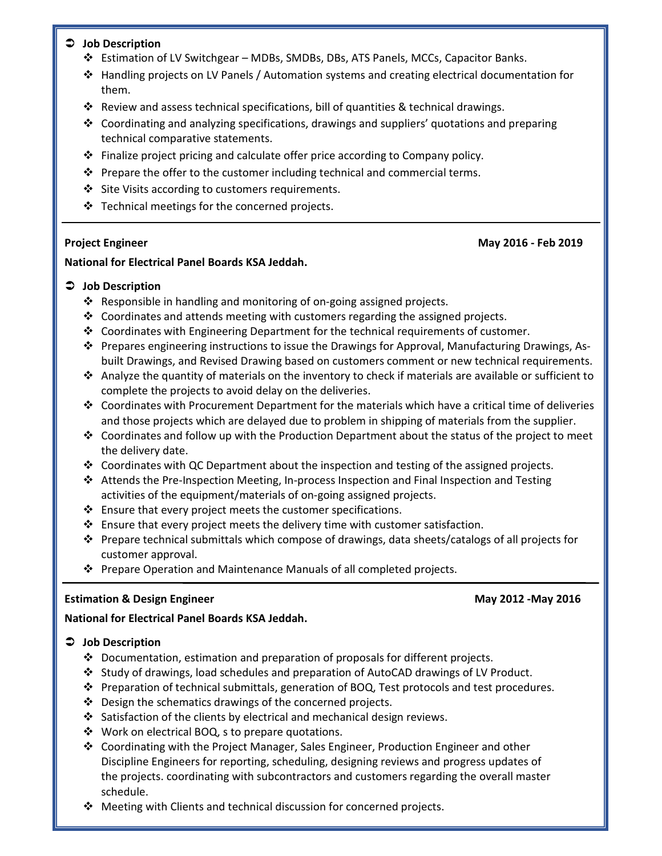### **Job Description**

- Estimation of LV Switchgear MDBs, SMDBs, DBs, ATS Panels, MCCs, Capacitor Banks.
- Handling projects on LV Panels / Automation systems and creating electrical documentation for them.
- $\clubsuit$  Review and assess technical specifications, bill of quantities & technical drawings.
- $\div$  Coordinating and analyzing specifications, drawings and suppliers' quotations and preparing technical comparative statements.
- $\div$  Finalize project pricing and calculate offer price according to Company policy.
- $\cdot \cdot$  Prepare the offer to the customer including technical and commercial terms.
- Site Visits according to customers requirements.
- \* Technical meetings for the concerned projects.

**Project Engineer May 2016 - Feb 2019** 

#### **National for Electrical Panel Boards KSA Jeddah.**

### **Job Description**

- Responsible in handling and monitoring of on-going assigned projects.
- $\div$  Coordinates and attends meeting with customers regarding the assigned projects.
- $\clubsuit$  Coordinates with Engineering Department for the technical requirements of customer.
- Prepares engineering instructions to issue the Drawings for Approval, Manufacturing Drawings, Asbuilt Drawings, and Revised Drawing based on customers comment or new technical requirements.
- $\clubsuit$  Analyze the quantity of materials on the inventory to check if materials are available or sufficient to complete the projects to avoid delay on the deliveries.
- $\cdot \cdot$  Coordinates with Procurement Department for the materials which have a critical time of deliveries and those projects which are delayed due to problem in shipping of materials from the supplier.
- $\div$  Coordinates and follow up with the Production Department about the status of the project to meet the delivery date.
- $\div$  Coordinates with QC Department about the inspection and testing of the assigned projects.
- Attends the Pre-Inspection Meeting, In-process Inspection and Final Inspection and Testing activities of the equipment/materials of on-going assigned projects.
- $\cdot$  Ensure that every project meets the customer specifications.
- $\cdot$  Ensure that every project meets the delivery time with customer satisfaction.
- Prepare technical submittals which compose of drawings, data sheets/catalogs of all projects for customer approval.
- ❖ Prepare Operation and Maintenance Manuals of all completed projects.

#### **Estimation & Design Engineer May 2012 -May 2016**

#### **National for Electrical Panel Boards KSA Jeddah.**

### **Job Description**

- $\div$  Documentation, estimation and preparation of proposals for different projects.
- $\clubsuit$  Study of drawings, load schedules and preparation of AutoCAD drawings of LV Product.
- Preparation of technical submittals, generation of BOQ, Test protocols and test procedures.
- ❖ Design the schematics drawings of the concerned projects.
- $\cdot$  Satisfaction of the clients by electrical and mechanical design reviews.
- ❖ Work on electrical BOQ, s to prepare quotations.
- Coordinating with the Project Manager, Sales Engineer, Production Engineer and other Discipline Engineers for reporting, scheduling, designing reviews and progress updates of the projects. coordinating with subcontractors and customers regarding the overall master schedule.
- Meeting with Clients and technical discussion for concerned projects.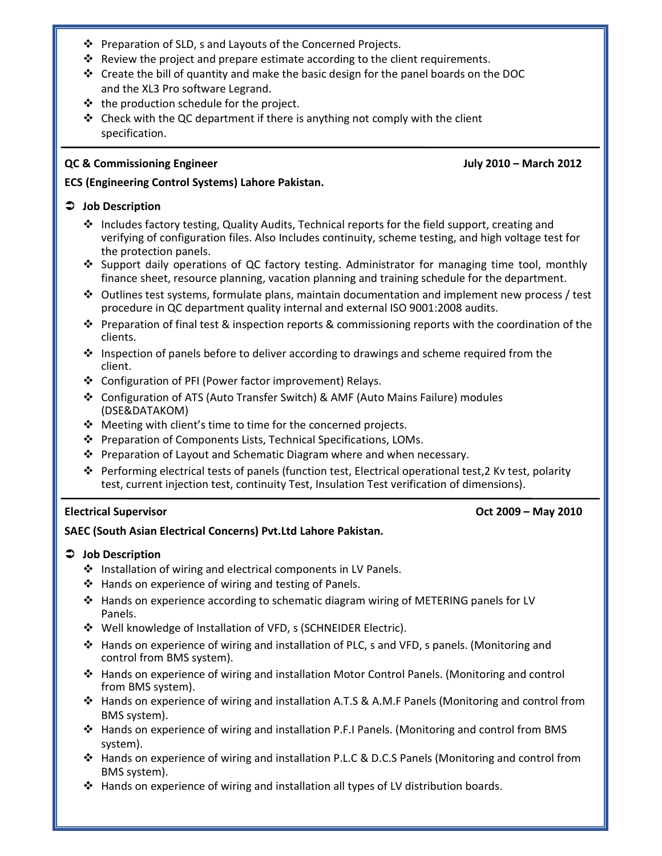- ❖ Preparation of SLD, s and Layouts of the Concerned Projects.
- Review the project and prepare estimate according to the client requirements.
- $\div$  Create the bill of quantity and make the basic design for the panel boards on the DOC and the XL3 Pro software Legrand.
- $\cdot \cdot$  the production schedule for the project.
- $\triangleleft$  Check with the QC department if there is anything not comply with the client specification.

#### **QC & Commissioning Engineer July 2010 – March 2012**

#### **ECS (Engineering Control Systems) Lahore Pakistan.**

#### **Job Description**

- $\clubsuit$  Includes factory testing, Quality Audits, Technical reports for the field support, creating and verifying of configuration files. Also Includes continuity, scheme testing, and high voltage test for the protection panels.
- Support daily operations of QC factory testing. Administrator for managing time tool, monthly finance sheet, resource planning, vacation planning and training schedule for the department.
- $\clubsuit$  Outlines test systems, formulate plans, maintain documentation and implement new process / test procedure in QC department quality internal and external ISO 9001:2008 audits.
- $\cdot \cdot$  Preparation of final test & inspection reports & commissioning reports with the coordination of the clients.
- $\div$  Inspection of panels before to deliver according to drawings and scheme required from the client.
- Configuration of PFI (Power factor improvement) Relays.
- Configuration of ATS (Auto Transfer Switch) & AMF (Auto Mains Failure) modules (DSE&DATAKOM)
- $\triangle$  Meeting with client's time to time for the concerned projects.
- ❖ Preparation of Components Lists, Technical Specifications, LOMs.
- $\cdot \cdot$  Preparation of Layout and Schematic Diagram where and when necessary.
- Performing electrical tests of panels (function test, Electrical operational test,2 Kv test, polarity test, current injection test, continuity Test, Insulation Test verification of dimensions).

### **Electrical Supervisor Oct 2009 – May 2010**

### **SAEC (South Asian Electrical Concerns) Pvt.Ltd Lahore Pakistan.**

#### **Job Description**

- ❖ Installation of wiring and electrical components in LV Panels.
- ❖ Hands on experience of wiring and testing of Panels.
- Hands on experience according to schematic diagram wiring of METERING panels for LV Panels.
- Well knowledge of Installation of VFD, s (SCHNEIDER Electric).
- $\clubsuit$  Hands on experience of wiring and installation of PLC, s and VFD, s panels. (Monitoring and control from BMS system).
- Hands on experience of wiring and installation Motor Control Panels. (Monitoring and control from BMS system).
- Hands on experience of wiring and installation A.T.S & A.M.F Panels (Monitoring and control from BMS system).
- $\div$  Hands on experience of wiring and installation P.F.I Panels. (Monitoring and control from BMS system).
- Hands on experience of wiring and installation P.L.C & D.C.S Panels (Monitoring and control from BMS system).
- $\div$  Hands on experience of wiring and installation all types of LV distribution boards.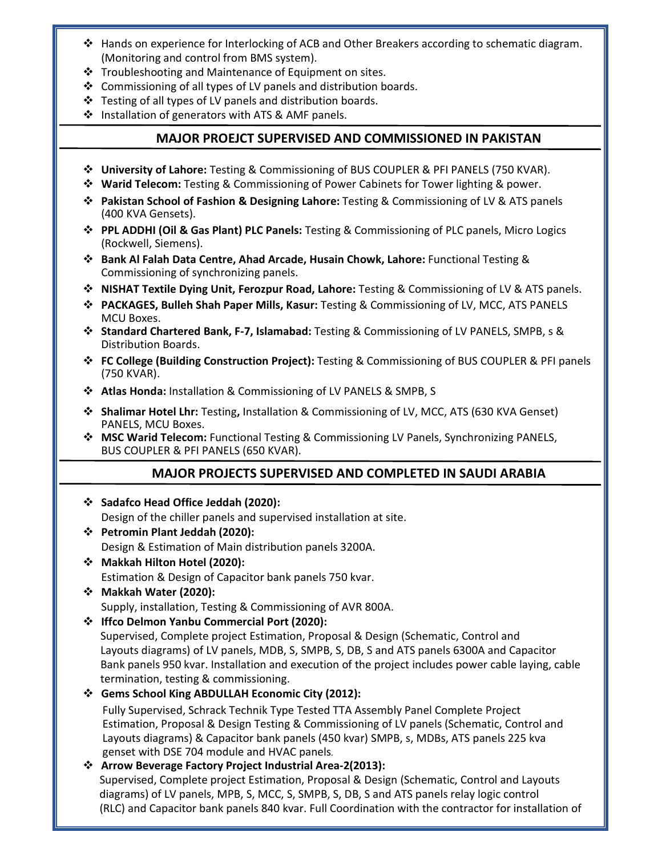- $\div$  Hands on experience for Interlocking of ACB and Other Breakers according to schematic diagram. (Monitoring and control from BMS system).
- ❖ Troubleshooting and Maintenance of Equipment on sites.
- $\cdot$  Commissioning of all types of LV panels and distribution boards.
- Testing of all types of LV panels and distribution boards.
- $\cdot$  Installation of generators with ATS & AMF panels.

# **MAJOR PROEJCT SUPERVISED AND COMMISSIONED IN PAKISTAN**

- **University of Lahore:** Testing & Commissioning of BUS COUPLER & PFI PANELS (750 KVAR).
- **Warid Telecom:** Testing & Commissioning of Power Cabinets for Tower lighting & power.
- **Pakistan School of Fashion & Designing Lahore:** Testing & Commissioning of LV & ATS panels (400 KVA Gensets).
- **PPL ADDHI (Oil & Gas Plant) PLC Panels:** Testing & Commissioning of PLC panels, Micro Logics (Rockwell, Siemens).
- **Bank Al Falah Data Centre, Ahad Arcade, Husain Chowk, Lahore:** Functional Testing & Commissioning of synchronizing panels.
- **NISHAT Textile Dying Unit, Ferozpur Road, Lahore:** Testing & Commissioning of LV & ATS panels.
- **PACKAGES, Bulleh Shah Paper Mills, Kasur:** Testing & Commissioning of LV, MCC, ATS PANELS MCU Boxes.
- **Standard Chartered Bank, F-7, Islamabad:** Testing & Commissioning of LV PANELS, SMPB, s & Distribution Boards.
- **FC College (Building Construction Project):** Testing & Commissioning of BUS COUPLER & PFI panels (750 KVAR).
- **Atlas Honda:** Installation & Commissioning of LV PANELS & SMPB, S
- **Shalimar Hotel Lhr:** Testing**,** Installation & Commissioning of LV, MCC, ATS (630 KVA Genset) PANELS, MCU Boxes.
- **MSC Warid Telecom:** Functional Testing & Commissioning LV Panels, Synchronizing PANELS, BUS COUPLER & PFI PANELS (650 KVAR).

# **MAJOR PROJECTS SUPERVISED AND COMPLETED IN SAUDI ARABIA**

- **Sadafco Head Office Jeddah (2020):** Design of the chiller panels and supervised installation at site.
- **Petromin Plant Jeddah (2020):** Design & Estimation of Main distribution panels 3200A.
- **Makkah Hilton Hotel (2020):** Estimation & Design of Capacitor bank panels 750 kvar.
- **Makkah Water (2020):**  Supply, installation, Testing & Commissioning of AVR 800A.
- **Iffco Delmon Yanbu Commercial Port (2020):**

 Supervised, Complete project Estimation, Proposal & Design (Schematic, Control and Layouts diagrams) of LV panels, MDB, S, SMPB, S, DB, S and ATS panels 6300A and Capacitor Bank panels 950 kvar. Installation and execution of the project includes power cable laying, cable termination, testing & commissioning.

# **Gems School King ABDULLAH Economic City (2012):**

 Fully Supervised, Schrack Technik Type Tested TTA Assembly Panel Complete Project Estimation, Proposal & Design Testing & Commissioning of LV panels (Schematic, Control and Layouts diagrams) & Capacitor bank panels (450 kvar) SMPB, s, MDBs, ATS panels 225 kva genset with DSE 704 module and HVAC panels*.* 

### **Arrow Beverage Factory Project Industrial Area-2(2013):**

 Supervised, Complete project Estimation, Proposal & Design (Schematic, Control and Layouts diagrams) of LV panels, MPB, S, MCC, S, SMPB, S, DB, S and ATS panels relay logic control (RLC) and Capacitor bank panels 840 kvar. Full Coordination with the contractor for installation of